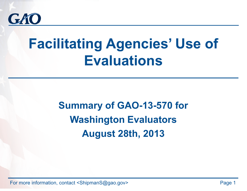

# **Facilitating Agencies ' Use of Evaluations**

## **Summary of GAO-13-570 for Washington Evaluators August 28th, 2013**

For more information, contact <ShipmanS@gao.gov>
Page 1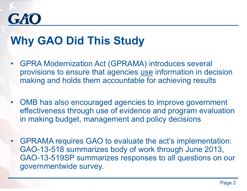

## **Why GAO Did This Study**

- • GPRA Modernization Act (GPRAMA) introduces several provisions to ensure that agencies use information in decision making and holds them accountable for achieving results
- $\bullet$  OMB has also encouraged agencies to improve government effectiveness through use of evidence and program evaluation in making budget, management and policy decisions
- GPRAMA requires GAO to evaluate the act's implementation: GAO-13-518 summarizes body of work through June 2013, GAO-13-519SP summarizes responses to all questions on our governmentwide survey.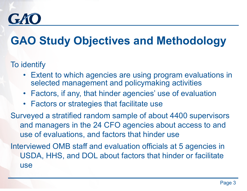

## **GAO Study Objectives and Methodology**

#### To identify

- Extent to which agencies are using program evaluations in selected management and policymaking activities
- Factors, if any, that hinder agencies' use of evaluation
- Factors or strategies that facilitate use

Surveyed a stratified random sample of about 4400 supervisors and managers in the 24 CFO agencies about access to and use of evaluations, and factors that hinder use

Interviewed OMB staff and evaluation officials at 5 agencies in USDA, HHS, and DOL about factors that hinder or facilitate use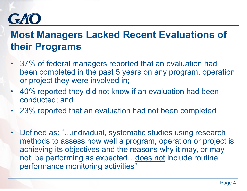### **Most Managers Lacked Recent Evaluations of their Programs**

- • 37% of federal managers reported that an evaluation had been completed in the past 5 years on any program, operation or project they were involved in;
- •40% reported they did not know if an evaluation had been conducted; and
- •23% reported that an evaluation had not been completed
- Defined as: "…individual, systematic studies using research methods to assess how well a program, operation or project is achieving its objectives and the reasons why it may, or may not, be performing as expected... does not include routine performance monitoring activities"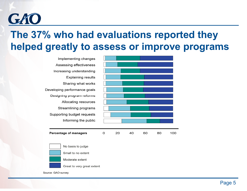

### **The 37% who had evaluations reported they helped greatly to assess or improve programs**



Source: GAO survey.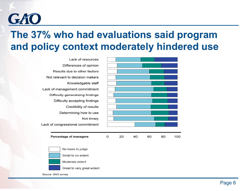

### **The 37% who had evaluations said program and policy context moderately hindered use**



Source: GAO survey.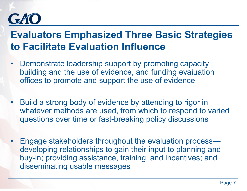

### **Evaluators Emphasized Three Basic Strategies to Facilitate Evaluation Influence**

- • Demonstrate leadership support by promoting capacity building and the use of evidence, and funding evaluation offices to promote and support the use of evidence
- Build a strong body of evidence by attending to rigor in whatever methods are used, from which to respond to varied questions over time or fast-breaking policy discussions
- Engage stakeholders throughout the evaluation process developing relationships to gain their input to planning and buy-in; providing assistance, training, and incentives; and disseminating usable messages